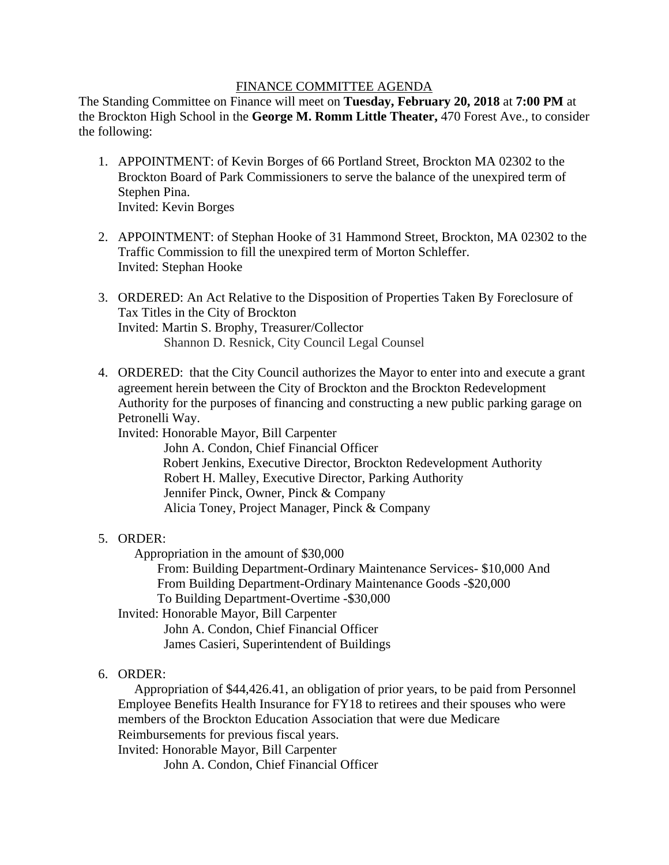## FINANCE COMMITTEE AGENDA

The Standing Committee on Finance will meet on **Tuesday, February 20, 2018** at **7:00 PM** at the Brockton High School in the **George M. Romm Little Theater,** 470 Forest Ave.*,* to consider the following:

- 1. APPOINTMENT: of Kevin Borges of 66 Portland Street, Brockton MA 02302 to the Brockton Board of Park Commissioners to serve the balance of the unexpired term of Stephen Pina. Invited: Kevin Borges
- 2. APPOINTMENT: of Stephan Hooke of 31 Hammond Street, Brockton, MA 02302 to the Traffic Commission to fill the unexpired term of Morton Schleffer. Invited: Stephan Hooke
- 3. ORDERED: An Act Relative to the Disposition of Properties Taken By Foreclosure of Tax Titles in the City of Brockton Invited: Martin S. Brophy, Treasurer/Collector Shannon D. Resnick, City Council Legal Counsel
- 4. ORDERED: that the City Council authorizes the Mayor to enter into and execute a grant agreement herein between the City of Brockton and the Brockton Redevelopment Authority for the purposes of financing and constructing a new public parking garage on Petronelli Way.

Invited: Honorable Mayor, Bill Carpenter John A. Condon, Chief Financial Officer Robert Jenkins, Executive Director, Brockton Redevelopment Authority Robert H. Malley, Executive Director, Parking Authority Jennifer Pinck, Owner, Pinck & Company Alicia Toney, Project Manager, Pinck & Company

## 5. ORDER:

Appropriation in the amount of \$30,000

From: Building Department-Ordinary Maintenance Services- \$10,000 And From Building Department-Ordinary Maintenance Goods -\$20,000 To Building Department-Overtime -\$30,000

Invited: Honorable Mayor, Bill Carpenter John A. Condon, Chief Financial Officer James Casieri, Superintendent of Buildings

## 6. ORDER:

 Appropriation of \$44,426.41, an obligation of prior years, to be paid from Personnel Employee Benefits Health Insurance for FY18 to retirees and their spouses who were members of the Brockton Education Association that were due Medicare Reimbursements for previous fiscal years.

Invited: Honorable Mayor, Bill Carpenter

John A. Condon, Chief Financial Officer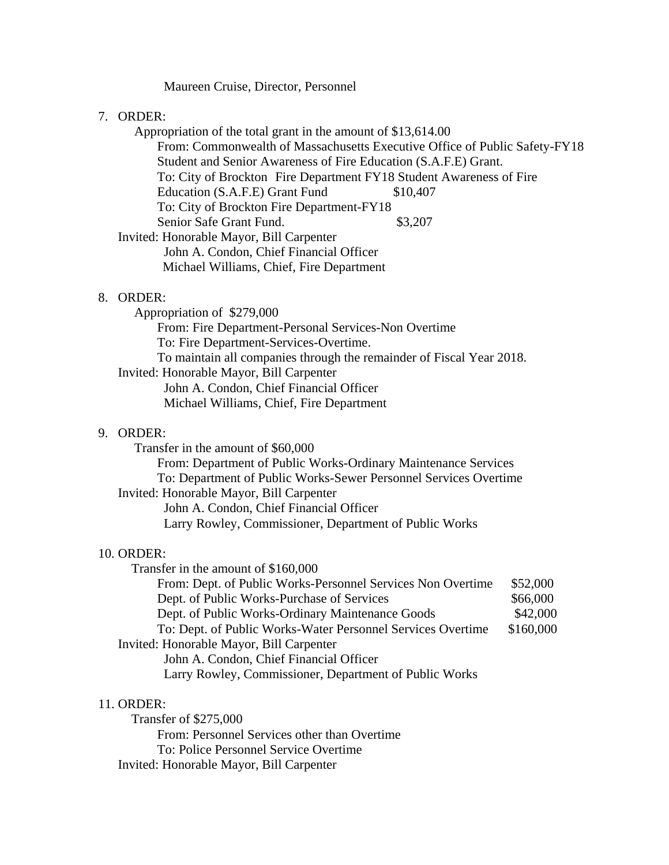### Maureen Cruise, Director, Personnel

#### 7. ORDER:

 Appropriation of the total grant in the amount of \$13,614.00 From: Commonwealth of Massachusetts Executive Office of Public Safety-FY18 Student and Senior Awareness of Fire Education (S.A.F.E) Grant. To: City of Brockton Fire Department FY18 Student Awareness of Fire Education (S.A.F.E) Grant Fund \$10,407 To: City of Brockton Fire Department-FY18 Senior Safe Grant Fund. \$3,207 Invited: Honorable Mayor, Bill Carpenter John A. Condon, Chief Financial Officer Michael Williams, Chief, Fire Department

#### 8. ORDER:

 Appropriation of \$279,000 From: Fire Department-Personal Services-Non Overtime To: Fire Department-Services-Overtime. To maintain all companies through the remainder of Fiscal Year 2018. Invited: Honorable Mayor, Bill Carpenter John A. Condon, Chief Financial Officer Michael Williams, Chief, Fire Department

# 9. ORDER:

Transfer in the amount of \$60,000

From: Department of Public Works-Ordinary Maintenance Services To: Department of Public Works-Sewer Personnel Services Overtime Invited: Honorable Mayor, Bill Carpenter John A. Condon, Chief Financial Officer Larry Rowley, Commissioner, Department of Public Works

#### 10. ORDER:

Transfer in the amount of \$160,000

| From: Dept. of Public Works-Personnel Services Non Overtime | \$52,000  |
|-------------------------------------------------------------|-----------|
| Dept. of Public Works-Purchase of Services                  | \$66,000  |
| Dept. of Public Works-Ordinary Maintenance Goods            | \$42,000  |
| To: Dept. of Public Works-Water Personnel Services Overtime | \$160,000 |
| Invited: Honorable Mayor, Bill Carpenter                    |           |
| John A. Condon, Chief Financial Officer                     |           |
| Larry Rowley, Commissioner, Department of Public Works      |           |

#### 11. ORDER:

 Transfer of \$275,000 From: Personnel Services other than Overtime To: Police Personnel Service Overtime Invited: Honorable Mayor, Bill Carpenter